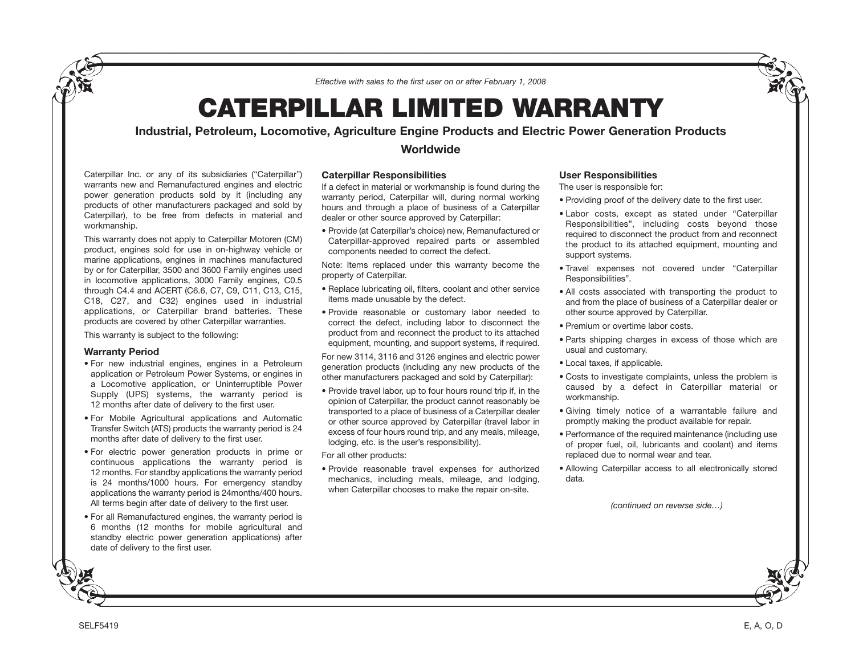*Effective with sales to the first user on or after February 1, 2008*

# **CATERPILLAR LIMITED WARRANTY**

# **Industrial, Petroleum, Locomotive, Agriculture Engine Products and Electric Power Generation Products**

Caterpillar Inc. or any of its subsidiaries ("Caterpillar") warrants new and Remanufactured engines and electric power generation products sold by it (including any products of other manufacturers packaged and sold by Caterpillar), to be free from defects in material and workmanship.

This warranty does not apply to Caterpillar Motoren (CM) product, engines sold for use in on-highway vehicle or marine applications, engines in machines manufactured by or for Caterpillar, 3500 and 3600 Family engines used in locomotive applications, 3000 Family engines, C0.5 through C4.4 and ACERT (C6.6, C7, C9, C11, C13, C15, C18, C27, and C32) engines used in industrial applications, or Caterpillar brand batteries. These products are covered by other Caterpillar warranties.

This warranty is subject to the following:

#### **Warranty Period**

- For new industrial engines, engines in a Petroleum application or Petroleum Power Systems, or engines in a Locomotive application, or Uninterruptible Power Supply (UPS) systems, the warranty period is 12 months after date of delivery to the first user.
- For Mobile Agricultural applications and Automatic Transfer Switch (ATS) products the warranty period is 24 months after date of delivery to the first user.
- For electric power generation products in prime or continuous applications the warranty period is 12 months. For standby applications the warranty period is 24 months/1000 hours. For emergency standby applications the warranty period is 24months/400 hours. All terms begin after date of delivery to the first user.
- For all Remanufactured engines, the warranty period is 6 months (12 months for mobile agricultural and standby electric power generation applications) after date of delivery to the first user.

# **Worldwide**

## **Caterpillar Responsibilities**

If a defect in material or workmanship is found during the warranty period, Caterpillar will, during normal working hours and through a place of business of a Caterpillar dealer or other source approved by Caterpillar:

• Provide (at Caterpillar's choice) new, Remanufactured or Caterpillar-approved repaired parts or assembled components needed to correct the defect.

Note: Items replaced under this warranty become the property of Caterpillar.

- Replace lubricating oil, filters, coolant and other service items made unusable by the defect.
- Provide reasonable or customary labor needed to correct the defect, including labor to disconnect the product from and reconnect the product to its attached equipment, mounting, and support systems, if required.

For new 3114, 3116 and 3126 engines and electric power generation products (including any new products of the other manufacturers packaged and sold by Caterpillar):

• Provide travel labor, up to four hours round trip if, in the opinion of Caterpillar, the product cannot reasonably be transported to a place of business of a Caterpillar dealer or other source approved by Caterpillar (travel labor in excess of four hours round trip, and any meals, mileage, lodging, etc. is the user's responsibility).

For all other products:

• Provide reasonable travel expenses for authorized mechanics, including meals, mileage, and lodging, when Caterpillar chooses to make the repair on-site.

## **User Responsibilities**

The user is responsible for:

- Providing proof of the delivery date to the first user.
- Labor costs, except as stated under "Caterpillar Responsibilities", including costs beyond those required to disconnect the product from and reconnect the product to its attached equipment, mounting and support systems.
- Travel expenses not covered under "Caterpillar Responsibilities".
- All costs associated with transporting the product to and from the place of business of a Caterpillar dealer or other source approved by Caterpillar.
- Premium or overtime labor costs.
- Parts shipping charges in excess of those which are usual and customary.
- Local taxes, if applicable.
- Costs to investigate complaints, unless the problem is caused by a defect in Caterpillar material or workmanship.
- Giving timely notice of a warrantable failure and promptly making the product available for repair.
- Performance of the required maintenance (including use of proper fuel, oil, lubricants and coolant) and items replaced due to normal wear and tear.
- Allowing Caterpillar access to all electronically stored data.

*(continued on reverse side…)*